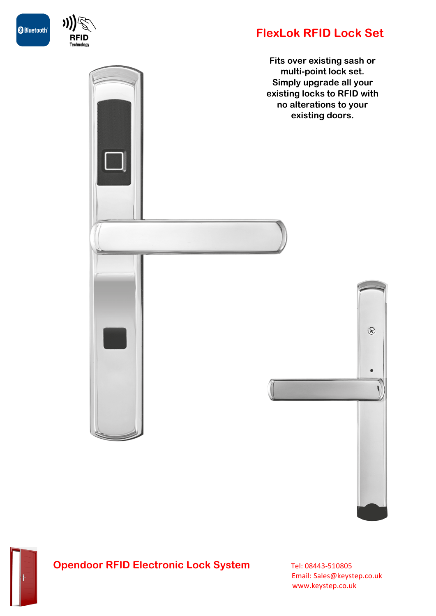



## **FlexLok RFID Lock Set**

**Fits over existing sash or multi-point lock set. Simply upgrade all your existing locks to RFID with no alterations to your existing doors.**





## **Opendoor RFID Electronic Lock System** Tel: 08443-510805

 Email: Sales@keystep.co.uk www.keystep.co.uk